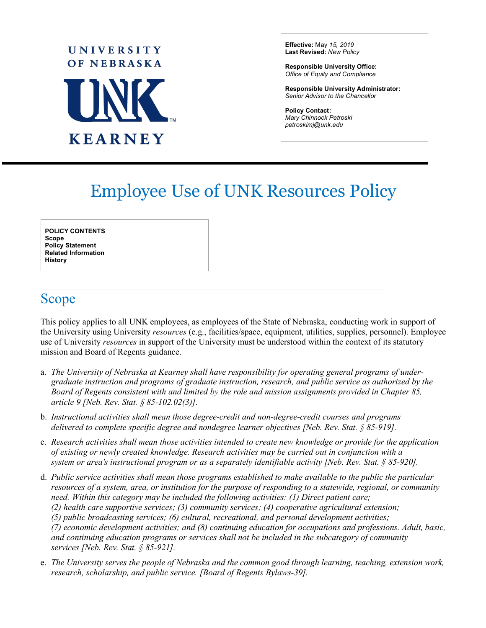# **UNIVERSITY** OF NEBRASKA **TINK KEARNEY**

**Effective:** May *15, 2019* **Last Revised:** *New Policy*

**Responsible University Office:** *Office of Equity and Compliance*

**Responsible University Administrator:** *Senior Advisor to the Chancellor*

**Policy Contact:** *Mary Chinnock Petroski petroskimj@unk.edu*

 $\overline{a}$ 

## Employee Use of UNK Resources Policy

**POLICY CONTENTS Scope Policy Statement Related Information History**

### Scope

This policy applies to all UNK employees, as employees of the State of Nebraska, conducting work in support of the University using University *resources* (e.g., facilities/space, equipment, utilities, supplies, personnel). Employee use of University *resources* in support of the University must be understood within the context of its statutory mission and Board of Regents guidance.

- a. *The University of Nebraska at Kearney shall have responsibility for operating general programs of undergraduate instruction and programs of graduate instruction, research, and public service as authorized by the Board of Regents consistent with and limited by the role and mission assignments provided in Chapter 85, article 9 [Neb. Rev. Stat. § 85-102.02(3)].*
- b. *Instructional activities shall mean those degree-credit and non-degree-credit courses and programs delivered to complete specific degree and nondegree learner objectives [Neb. Rev. Stat. § 85-919].*
- c. *Research activities shall mean those activities intended to create new knowledge or provide for the application of existing or newly created knowledge. Research activities may be carried out in conjunction with a system or area's instructional program or as a separately identifiable activity [Neb. Rev. Stat. § 85-920].*
- d. *Public service activities shall mean those programs established to make available to the public the particular resources of a system, area, or institution for the purpose of responding to a statewide, regional, or community need. Within this category may be included the following activities: (1) Direct patient care; (2) health care supportive services; (3) community services; (4) cooperative agricultural extension; (5) public broadcasting services; (6) cultural, recreational, and personal development activities; (7) economic development activities; and (8) continuing education for occupations and professions. Adult, basic, and continuing education programs or services shall not be included in the subcategory of community services [Neb. Rev. Stat. § 85-921].*
- e. *The University serves the people of Nebraska and the common good through learning, teaching, extension work, research, scholarship, and public service. [Board of Regents Bylaws-39].*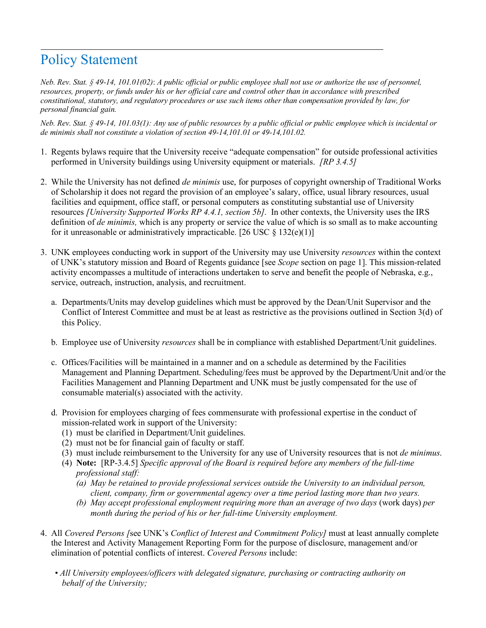#### Policy Statement

*Neb. Rev. Stat. § 49-14, 101.01(02)*: *A public official or public employee shall not use or authorize the use of personnel, resources, property, or funds under his or her official care and control other than in accordance with prescribed constitutional, statutory, and regulatory procedures or use such items other than compensation provided by law, for personal financial gain.*

*Neb. Rev. Stat. § 49-14, 101.03(1): Any use of public resources by a public official or public employee which is incidental or de minimis shall not constitute a violation of section 49-14,101.01 or 49-14,101.02.*

- 1. Regents bylaws require that the University receive "adequate compensation" for outside professional activities performed in University buildings using University equipment or materials. *[RP 3.4.5]*
- 2. While the University has not defined *de minimis* use, for purposes of copyright ownership of Traditional Works of Scholarship it does not regard the provision of an employee's salary, office, usual library resources, usual facilities and equipment, office staff, or personal computers as constituting substantial use of University resources *[University Supported Works RP 4.4.1, section 5b]*. In other contexts, the University uses the IRS definition of *de minimis,* which is any property or service the value of which is so small as to make accounting for it unreasonable or administratively impracticable. [26 USC  $\S 132(e)(1)$ ]
- 3. UNK employees conducting work in support of the University may use University *resources* within the context of UNK's statutory mission and Board of Regents guidance [see *Scope* section on page 1]. This mission-related activity encompasses a multitude of interactions undertaken to serve and benefit the people of Nebraska, e.g., service, outreach, instruction, analysis, and recruitment.
	- a. Departments/Units may develop guidelines which must be approved by the Dean/Unit Supervisor and the Conflict of Interest Committee and must be at least as restrictive as the provisions outlined in Section 3(d) of this Policy.
	- b. Employee use of University *resources* shall be in compliance with established Department/Unit guidelines.
	- c. Offices/Facilities will be maintained in a manner and on a schedule as determined by the Facilities Management and Planning Department. Scheduling/fees must be approved by the Department/Unit and/or the Facilities Management and Planning Department and UNK must be justly compensated for the use of consumable material(s) associated with the activity.
	- d. Provision for employees charging of fees commensurate with professional expertise in the conduct of mission-related work in support of the University:
		- (1) must be clarified in Department/Unit guidelines.
		- (2) must not be for financial gain of faculty or staff.
		- (3) must include reimbursement to the University for any use of University resources that is not *de minimus*.
		- (4) **Note:** [RP-3.4.5] *Specific approval of the Board is required before any members of the full-time professional staff:* 
			- *(a) May be retained to provide professional services outside the University to an individual person, client, company, firm or governmental agency over a time period lasting more than two years.*
			- *(b) May accept professional employment requiring more than an average of two days* (work days) *per month during the period of his or her full-time University employment.*
- 4. All *Covered Persons [*see UNK's *Conflict of Interest and Commitment Policy]* must at least annually complete the Interest and Activity Management Reporting Form for the purpose of disclosure, management and/or elimination of potential conflicts of interest. *Covered Persons* include:
	- *All University employees/officers with delegated signature, purchasing or contracting authority on behalf of the University;*